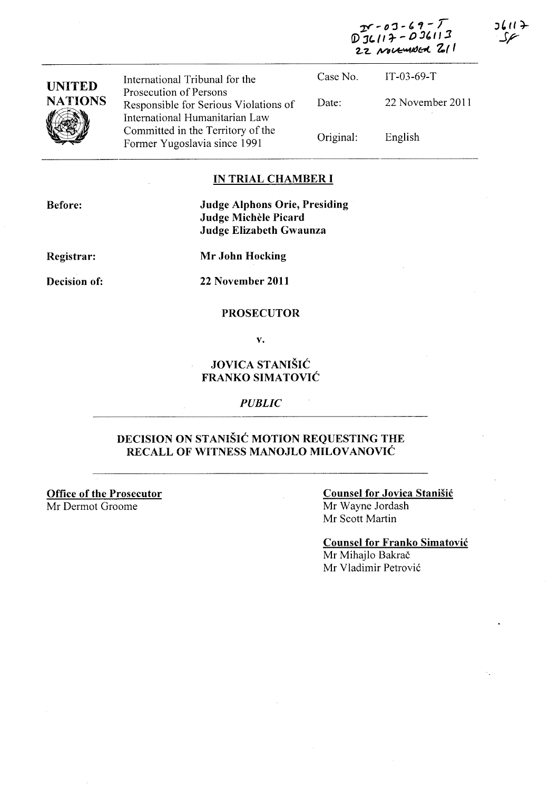$-03-69-7$  $D_{36117}^{280300} - 0.36113$ 22 NOVEMBER 211



#### **IN TRIAL CHAMBER I**

Before:

**Judge Alphons Orie, Presiding Judge Michele Picard Judge Elizabeth Gwaunza** 

**Registrar:** 

**Mr John Hocking** 

**Decision of:** 

**22 November 2011** 

#### **PROSECUTOR**

**v.** 

## **JOVICA ST ANISIC FRANKO SIMATOVIC**

*PUBLIC* 

### **DECISION ON STANISIC MOTION REQUESTING THE RECALL OF WITNESS MANOJLO MILOVANOVIĆ**

**Office of the Prosecutor**  Mr Dermot Groome

#### **Counsel for Jovica Stanisic**  Mr Wayne Jordash Mr Scott Martin

**Counsel for Franko Simatovic** 

Mr Mihajlo Bakrač Mr Vladimir Petrovi6 – ۱۱ کا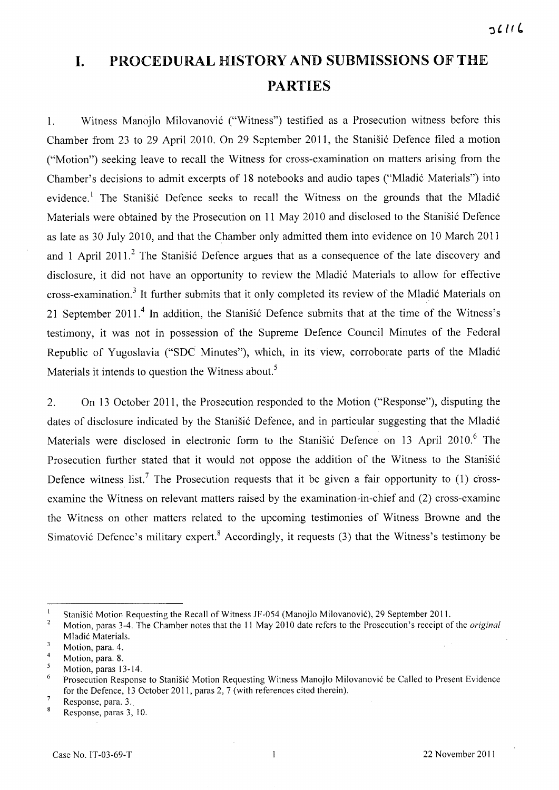# **I.** PROCEDURAL HISTORY AND SUBMISSIONS OF THE PARTIES

1. Witness Manojlo Milovanović ("Witness") testified as a Prosecution witness before this Chamber from 23 to 29 April 2010. On 29 September 2011, the Stanišić Defence filed a motion ("Motion") seeking leave to recall the Witness for cross-examination on matters arising from the Chamber's decisions to admit excerpts of 18 notebooks and audio tapes ("Mladić Materials") into evidence.<sup>1</sup> The Stanisic Defence seeks to recall the Witness on the grounds that the Mladić Materials were obtained by the Prosecution on 11 May 2010 and disclosed to the Stanišić Defence as late as 30 July 2010, and that the Chamber only admitted them into evidence on 10 March 2011 and 1 April 2011.<sup>2</sup> The Stanisić Defence argues that as a consequence of the late discovery and disclosure, it did not have an opportunity to review the Mladić Materials to allow for effective cross-examination.<sup>3</sup> It further submits that it only completed its review of the Mladić Materials on 21 September 2011.<sup>4</sup> In addition, the Stanišić Defence submits that at the time of the Witness's testimony, it was not in possession of the Supreme Defence Council Minutes of the Federal Republic of Yugoslavia ("SDC Minutes"), which, in its view, corroborate parts of the Mladi6 Materials it intends to question the Witness about.<sup>5</sup>

2. On 13 October 2011, the Prosecution responded to the Motion ("Response"), disputing the dates of disclosure indicated by the Stanišić Defence, and in particular suggesting that the Mladić Materials were disclosed in electronic form to the Stanišić Defence on 13 April 2010.<sup>6</sup> The Prosecution further stated that it would not oppose the addition of the Witness to the Stanisić Defence witness list.<sup>7</sup> The Prosecution requests that it be given a fair opportunity to  $(1)$  crossexamine the Witness on relevant matters raised by the examination-in-chief and (2) cross-examine the Witness on other matters related to the upcoming testimonies of Witness Browne and the Simatović Defence's military expert.<sup>8</sup> Accordingly, it requests (3) that the Witness's testimony be

 $\mathbf{I}$ Stanišić Motion Requesting the Recall of Witness JF-054 (Manojlo Milovanović), 29 September 2011.

 $\sqrt{2}$ Motion, paras 3-4. The Chamber notes that the 11 May 2010 date refers to the Prosecution's receipt of the *original*  Mladić Materials.  $\overline{3}$ 

Motion, para. 4.

 $\overline{4}$ Motion, para. 8.

 $\mathfrak{s}$ Motion, paras 13-14.

<sup>6</sup> Prosecution Response to Stanišić Motion Requesting Witness Manojlo Milovanović be Called to Present Evidence for the Defence, 13 October 2011, paras 2, 7 (with references cited therein).

 $\tau$ Response, para. 3.

Response, paras 3, 10.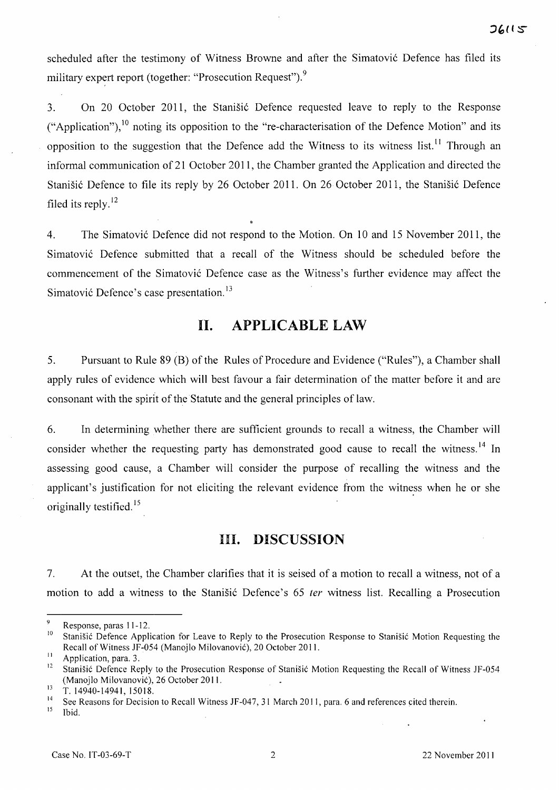scheduled after the testimony of Witness Browne and after the Simatović Defence has filed its military expert report (together: "Prosecution Request").<sup>9</sup>

3. On 20 October 2011, the Stanistic Defence requested leave to reply to the Response ("Application"), $^{10}$  noting its opposition to the "re-characterisation of the Defence Motion" and its opposition to the suggestion that the Defence add the Witness to its witness list.<sup>11</sup> Through an informal communication of 21 October 2011, the Chamber granted the Application and directed the Stanišić Defence to file its reply by 26 October 2011. On 26 October 2011, the Stanišić Defence filed its reply. $^{12}$ 

4. The Simatović Defence did not respond to the Motion. On 10 and 15 November 2011, the Simatovi6 Defence submitted that a recall of the Witness should be scheduled before the commencement of the Simatović Defence case as the Witness's further evidence may affect the Simatović Defence's case presentation.<sup>13</sup>

# **11. APPLICABLE LAW**

5. Pursuant to Rule 89 (B) of the Rules of Procedure and Evidence ("Rules"), a Chamber shall apply rules of evidence which will best favour a fair determination of the matter before it and are consonant with the spirit of the Statute and the general principles of law.

6. In determining whether there are sufficient grounds to recall a witness, the Chamber will consider whether the requesting party has demonstrated good cause to recall the witness.<sup>14</sup> In assessing good cause, a Chamber will consider the purpose of recalling the witness and the applicant's justification for not eliciting the relevant evidence from the witness when he or she originally testified.<sup>15</sup>

## **Ill. DISCUSSION**

7. At the outset, the Chamber clarifies that it is seised of a motion to recall a witness, not of a motion to add a witness to the Stanišić Defence's 65 *ter* witness list. Recalling a Prosecution

Response, paras 11-12.

<sup>&</sup>lt;sup>10</sup> Stanišić Defence Application for Leave to Reply to the Prosecution Response to Stanišić Motion Requesting the Recall of Witness JF-054 (Manojlo Milovanovic), 20 October 2011.

<sup>&</sup>lt;sup>11</sup> Application, para. 3.

<sup>12</sup> Stanisic Defence Reply to the Prosecution Response of Stanisic Motion Requesting the Recall of Witness JF-054 (Manojlo Milovanovic), 26 October 2011.

 $13 \overline{1}$ . 14940-14941, 15018.

<sup>&</sup>lt;sup>14</sup> See Reasons for Decision to Recall Witness JF-047, 31 March 2011, para. 6 and references cited therein.

Ibid.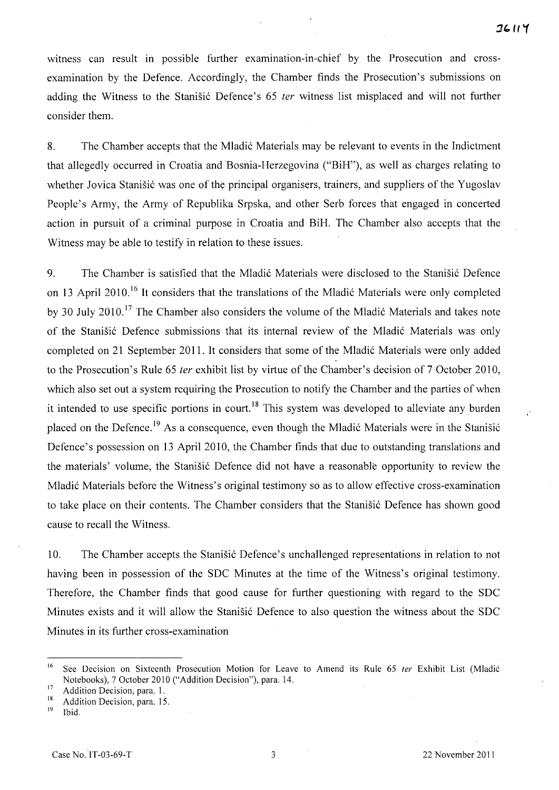witness can result in possible further examination-in-chief by the Prosecution and crossexamination by the Defence. Accordingly, the Chamber finds the Prosecution's submissions on adding the Witness to the Stanisic Defence's 65 *ter* witness list misplaced and will not further consider them.

8. The Chamber accepts that the Mladic Materials may be relevant to events in the Indictment that allegedly occurred in Croatia and Bosnia-Herzegovina ("BiH"), as well as charges relating to whether Jovica Stanišić was one of the principal organisers, trainers, and suppliers of the Yugoslav People's Army, the Army of Republika Srpska, and other Serb forces that engaged in concerted action in pursuit of a criminal purpose in Croatia and BiH. The Chamber also accepts that the Witness may be able to testify in relation to these issues.

9. The Chamber is satisfied that the Mladic Materials were disclosed to the Stanisic Defence on 13 April 2010.<sup>16</sup> It considers that the translations of the Mladić Materials were only completed by 30 July 2010.<sup>17</sup> The Chamber also considers the volume of the Mladić Materials and takes note of the Stanisic Defence submissions that its internal review of the Mladic Materials was only completed on 21 September 2011. It considers that some of the Mladic Materials were only added to the Prosecution's Rule 65 *ter* exhibit list by virtue of the Chamber's decision of 7 October 2010, which also set out a system requiring the Prosecution to notify the Chamber and the parties of when it intended to use specific portions in court.<sup>18</sup> This system was developed to alleviate any burden placed on the Defence.<sup>19</sup> As a consequence, even though the Mladić Materials were in the Stanisić Defence's possession on 13 April 2010, the Chamber finds that due to outstanding translations and the materials' volume, the Stanisic Defence did not have a reasonable opportunity to review the Mladic Materials before the Witness's original testimony so as to allow effective cross-examination to take place on their contents. The Chamber considers that the Stanisic Defence has shown good cause to recall the Witness.

10. The Chamber accepts the Stanisic Defence's unchallenged representations in relation to not having been in possession of the SDC Minutes at the time of the Witness's original testimony. Therefore, the Chamber finds that good cause for further questioning with regard to the SDC Minutes exists and it will allow the Stanisic Defence to also question the witness about the SDC Minutes in its further cross-examination

<sup>&</sup>lt;sup>16</sup> See Decision on Sixteenth Prosecution Motion for Leave to Amend its Rule 65 ter Exhibit List (Mladić Notebooks), 7 October 2010 ("Addition Decision"), para. 14.

 $17$  Addition Decision, para. 1.

 $18$  Addition Decision, para. 15.

Ibid.